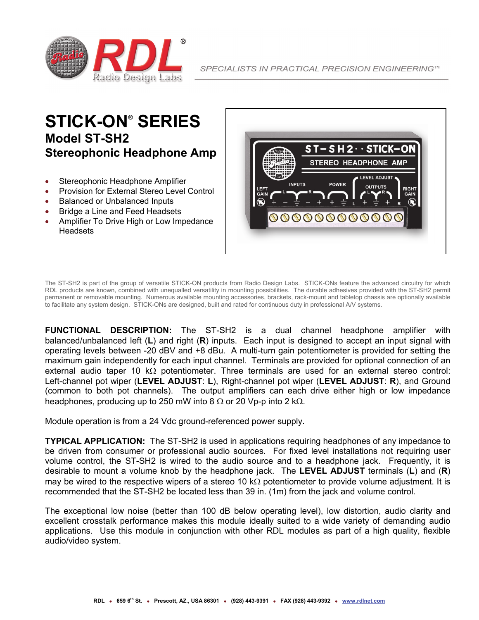

## **STICK-ON® SERIES Model ST-SH2 Stereophonic Headphone Amp**

- Stereophonic Headphone Amplifier
- Provision for External Stereo Level Control
- Balanced or Unbalanced Inputs
- Bridge a Line and Feed Headsets
- Amplifier To Drive High or Low Impedance **Headsets**



The ST-SH2 is part of the group of versatile STICK-ON products from Radio Design Labs. STICK-ONs feature the advanced circuitry for which RDL products are known, combined with unequalled versatility in mounting possibilities. The durable adhesives provided with the ST-SH2 permit permanent or removable mounting. Numerous available mounting accessories, brackets, rack-mount and tabletop chassis are optionally available to facilitate any system design. STICK-ONs are designed, built and rated for continuous duty in professional A/V systems.

**FUNCTIONAL DESCRIPTION:** The ST-SH2 is a dual channel headphone amplifier with balanced/unbalanced left (**L**) and right (**R**) inputs. Each input is designed to accept an input signal with operating levels between -20 dBV and +8 dBu. A multi-turn gain potentiometer is provided for setting the maximum gain independently for each input channel. Terminals are provided for optional connection of an external audio taper 10 k $\Omega$  potentiometer. Three terminals are used for an external stereo control: Left-channel pot wiper (**LEVEL ADJUST**: **L**), Right-channel pot wiper (**LEVEL ADJUST**: **R**), and Ground (common to both pot channels). The output amplifiers can each drive either high or low impedance headphones, producing up to 250 mW into 8  $\Omega$  or 20 Vp-p into 2 k $\Omega$ .

Module operation is from a 24 Vdc ground-referenced power supply.

**TYPICAL APPLICATION:** The ST-SH2 is used in applications requiring headphones of any impedance to be driven from consumer or professional audio sources. For fixed level installations not requiring user volume control, the ST-SH2 is wired to the audio source and to a headphone jack. Frequently, it is desirable to mount a volume knob by the headphone jack. The **LEVEL ADJUST** terminals (**L**) and (**R**) may be wired to the respective wipers of a stereo 10 k $\Omega$  potentiometer to provide volume adjustment. It is recommended that the ST-SH2 be located less than 39 in. (1m) from the jack and volume control.

The exceptional low noise (better than 100 dB below operating level), low distortion, audio clarity and excellent crosstalk performance makes this module ideally suited to a wide variety of demanding audio applications. Use this module in conjunction with other RDL modules as part of a high quality, flexible audio/video system.